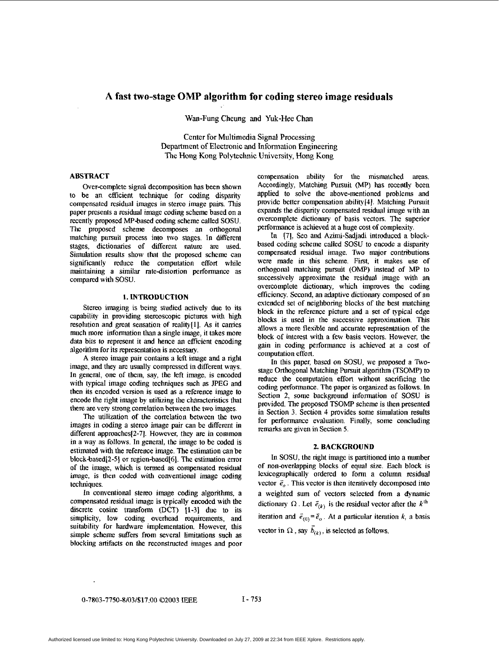# **A fast two-stage OMP algorithm for coding stereo image residuals**

Wan-Fung Cheung and Yuk-Hee **Chan** 

Center for Multimedia Signal Processing Department of Electronic and Information Engineering The Hong Kong Polytechnic University, Hong Kong

# **ABSTRACT**

Over-complete signal decomposition has been shown to be an efficient technique for coding **disparity**  compensated residual images in stereo image pairs. This paper presents a residual image coding scheme based on a recently proposed MP-based coding scheme called SOW. The proposed scheme decomposes an orthogonal matching pursuit process into two stages. In different stages, dictionaries of different nature **are** used. Simulation results show that the proposed scheme can significantly reduce *the* computation effort while maintaining a similar ratedistortion performance **as**  compared with SOSU.

## **1. INTRODUCTION**

Stereo imaging is being studied actively due to its capability in providing stereoscopic pictures with high resolution and great sensation of reality[l]. As it carries much more information **than** a single image, it takes more data bits to represent it and hence an eficient encoding algorithm for its representation is necessary.

A stereo image pair contains a left image and a right image, and they **are** usually compressed in different ways. In general, one of them, say, the left image. is encoded with typical image coding techniques such **as** PEG and then its encoded version is used as a reference image to encode the right image by utilizing the characteristics that there **are** very strong correlation between the *two* images.

The utilization of the correlation between the two images in coding a stereo image pair can be different in different approaches[2-7]. However. they **are** in common in a way **as** follows. In general, the image to be coded is estimated with the reference image. The estimation can be block-based[2-5] or region-based[6]. The estimation error *of* the image, which is termed **as** compensated residual image, is then coded with conventional image coding techniques.

In conventional stereo image coding algorithms, a compensated residual image is typically encoded with the discrete cosine transform (DCT) [1-3] due to its simplicity, low coding overhead requirements, and suitability for hardware implementation. However, this simple scheme suffers from several limitations such as blocking artifacts on the reconstructed images and poor

compensation ability for the mismatched areas. Accordingly. Matching Pursuit (MP) has recently been applied to solve the above-mentioned problems and pmvide better compensation ability[4]. Matching Pursuit expands *the* disparity compensated residual image with an overcomplete dictionary of basis vectors. The superior performance is achieved at a huge cost of complexity.

In [7], Seo and Azimi-Sadjadi introduced a blockbased coding scheme called **SOSU** to encode a disparity compensated residual image. Two major contributions were made in this scheme. First, it makes use of orthogonal matching pursuit (OMP) instead of MP to successively approximate the residual image with an overcomplete dictionary, which improves **the** coding efficiency. Second, an adaptive dictionary composed of an extended set of neighboring blocks of *the* best matching block in the reference picture and a set of typical edge blocks is used in the successive approximation. This allows a more flexible and accurate representation of the block of interest with a few basis vectors. However, the gain in coding performance is achieved at a cost of computation effort.

In this paper, based on SOSU, we proposed a Twostage Orthogonal Matching Pursuit algorithm (TSOMP) to reduce the computation effort without sacrificing the coding performance. The paper is organized as follows. In Section 2, some background infomation *of* SOSU is provided. The proposed TSOMP scheme is then presented in Section 3. Section 4 provides some simulation results for performance evaluation. Finally, some concluding **remarks** are given in Section *5.* 

#### **2. BACKGROUND**

In SOSU, the right image is partitioned into a number of non-overlapping blocks of equal size. Each block is lexicographically ordered to form a column residual vector  $\vec{e}_o$ . This vector is then iteratively decomposed into a weighted sum of vectors selected fmm a dynamic dictionary  $\Omega$ . Let  $\vec{e}_{(k)}$  is the residual vector after the  $k^{\text{th}}$ iteration and  $\vec{e}_{(0)} = \vec{e}_o$ . At a particular iteration *k*, a basis vector in  $\Omega$ , say  $\vec{b}_{(k)}$ , is selected as follows.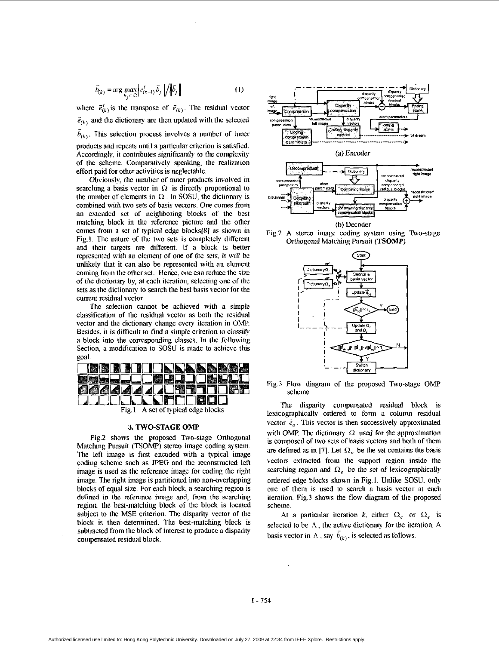$$
\bar{b}_{(k)} = \arg \max_{\bar{b}_j \in \Omega} \left| \bar{e}_{(k-1)}^t \bar{b}_j \right| / \left\| \bar{b}_j \right\| \tag{1}
$$

where  $\vec{e}_{(k)}^t$  is the transpose of  $\vec{e}_{(k)}$ . The residual vector  $\vec{e}_{(k)}$  and the dictionary are then updated with the selected  $\vec{b}_{(k)}$ . This selection process involves a number of inner products and repeats until a particular criterion is satisfied. Accordingly. it contributes significantly to the complesily of the scheme. Comparativcly speaking, the realization

effort paid for other activities is neglectable. Obviously, the number of inner products involved in searching a basis vector in  $\Omega$  is directly proportional to the number of elements in  $\Omega$ . In SOSU, the dictionary is combined with two sets of basis vectors. One comes from an extended set of neighboring blocks of the best matching block in the reference picture and the other comes from a set of typical edge blocks[8] as shown in Fig.1. The nature of the two sets is completely different and their targets are different. If a block is better represented with an element of one of the sets, it will be unlikely that it can also be represented with an element coming from the other set. Hence. one can reduce the size of the dictionary by, at each iteration, selecting one of the sets as the dictionary to search the best basis vector for the current residual vector.

The selection cannot be achieved with a simple classification of the residual vector **as** both the residual vector and the dictionary change every iteration in OMP. Besides, it is difficult to find a simple criterion to classify a block into the corresponding classes. In the following Section, a modification to SOSU is made to achieve this goal.



#### **3. TWO-STAGE OMP**

Fig.2 shows the proposed Two-stage Orthogonal Matching Pursuit **(TSOMP)** stereo image coding system. The left image is first encoded with a typical image coding scheme such as PEG and the reconstmcted left image is used as the reference image for coding the right image. The right image is partitioned into non-overlapping blocks of equal size. For each block, a searching region is defined in the reference image and, from the searching region **llie** best-matclung block of the block is located subject to the MSE criterion. The disparity vector of the block is then determined. The best-matching block is subtracted from the block of interest to produce a disparity compensated residual block.



Fig2 A stereo image coding system using Two-stage Otihogonal Matching Pursuit (TSOMP)



Fig.3 Flow diagram of the proposed Two-stage OMP scheme

The disparity compensated residual block is lexicographically ordered to form a column residual vector  $\vec{e}_o$ . This vector is then successively approximated with OMP. The dictionary  $\Omega$  used for the approximation is composed of two sets of basis vectors and both of them are defined as in [7]. Let  $\Omega_c$  be the set contains the basis vectors extracted from the support region inside the searching region and  $\Omega_e$  be the set of lexicographically ordered edge blocks shown in Fig.1. Unlike SOSU, **only**  one of them is used to **search** a basis vector at each iteration. Fig.3 shows the flow diagram of the proposed scheme

At a particular iteration k, either  $\Omega_c$  or  $\Omega_e$  is selected to be  $A$ , the active dictionary for the iteration. A basis vector in  $\Lambda$ , say  $\bar{b}_{(k)}$ , is selected as follows.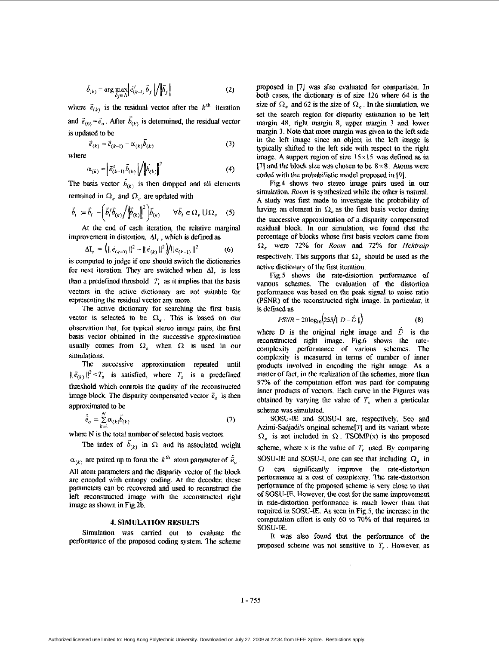$$
\vec{b}_{(k)} = \arg \max_{\vec{b}_j \in \Lambda} \left| \vec{e}_{(k-1)}^t \vec{b}_j \right| / \left\| \vec{b}_j \right\| \tag{2}
$$

where  $\vec{e}_{(k)}$  is the residual vector after the  $k^{\text{th}}$  iteration and  $\tilde{e}_{(0)} = \tilde{e}_o$ . After  $\tilde{b}_{(k)}$  is determined, the residual vector is updated to he -

$$
\vec{e}_{(k)} = \vec{e}_{(k-1)} - \alpha_{(k)}\vec{b}_{(k)} \tag{3}
$$

where

$$
\alpha_{(k)} = \left| \vec{e}_{(k-1)}^{\text{t}} \vec{b}_{(k)} \right| / \left\| \vec{b}_{(k)} \right\|^2 \tag{4}
$$

The basis vector  $b_{(k)}$  is then dropped and all elements remained in  $\Omega_e$  and  $\Omega_c$  are updated with

$$
\vec{b}_i := \vec{b}_i - \left(\vec{b}_i \cdot \vec{b}_{(k)} / \left\| \vec{b}_{(k)} \right\|^2 \right) \vec{b}_{(k)} \qquad \forall \vec{b}_i \in \Omega_e \cup \Omega_c \quad (5)
$$

At the end of each iteration, the relative marginal improvement in distortion,  $\Delta I_r$ , which is defined as

$$
\Delta I_r = (\|\vec{e}_{(k-1)}\|^2 - \|\vec{e}_{(k)}\|^2)/\|\vec{e}_{(k-1)}\|^2 \qquad (6)
$$

is computed to judge if one should switch the dictionaries for next iteration. **They are** switched when AI, is less **than** a predefined threshold T, as it implies that the basis vectors in the active dictionary **are** not suitable for representing the residual vector **any** more.

The active dictiomy for **searching** the first basis vector is selected to be  $\Omega_e$ . This is based on our observation that, for typical stereo image pairs. the first basis vector obtained in the successive approximation usually comes from  $\Omega$ , when  $\Omega$  is used in our simulations.

The successive approximation repeated until  $\|\vec{e}_{(k)}\|^2 \leq T_s$  is satisfied, where  $T_s$  is a predefined threshold which controls the quality *of* the reconstmcted image block. The disparity compensated vector  $\vec{e}_o$  is then approximated to he

$$
\hat{\vec{e}}_o = \sum_{k=1}^N \alpha_{(k)} \vec{b}_{(k)} \tag{7}
$$

where N is the total number of selected basis vectors.

The index of  $\vec{b}_{(k)}$  in  $\Omega$  and its associated weight

 $\alpha_{(k)}$  are paired up to form the  $k^{\text{th}}$  atom parameter of  $\hat{\vec{e}}_o$ . All atom parameters and the disparity vector of the block are encoded with entropy coding. At the decoder, these parameters can he recovered and used to reconstruct the left reconstructed image with the reconstructed right image as shown in Fig.2b.

# **4. SIMULATION** RESULTS

Simulation was carried out to evaluate the performance of the proposed coding system. The scheme proposed in **[7]** was also evaluated for comparison. In both cases, the dictionary is of size 126 where 64 is the size of  $\Omega_e$  and 62 is the size of  $\Omega_c$ . In the simulation, we set the search region for disparity estimation to be left margin 48, right margin 8, upper margin 3 and lower margin **3.** Note that more **margin** was given to the left side in the left image since **an** object in the left image is typically shifted to the left side with respect to the right image. **A** support region of size **15x 15** was defined as in [7] and the block size was chosen to be 8 x 8. **Atoms** were coded with the probabilistic model proposed in 191.

Fig.4 shows two stereo image pairs used in our simulation. Room is synthesized while the other is natural. **A** study **was** first made to investigate the probability of having an element in  $\Omega_e$  as the first basis vector during the successive approximation of a disparity compensated residual block. In **ow** simulation, we found that the percentage of blocks whose first basis vectors came from **Q,** were 72% for *Room* and **72%** for *Hcklraip*  respectively. This supports that  $\Omega_e$  should be used as the active dictionary of the first iteration.

Fig.5 shows the rate-distortion performance of various schemes. The evaluation of the distortion performance was based on the peak signal to noise ratio **(PSNR)** of the reconstructed right unage. In pariicular, it is defined as

$$
PSNR = 20\log_{10}\left(255/||D - \hat{D}||\right)
$$
 (8)

where D is the original right image and  $\hat{D}$  is the reconstructed right image. Fig.6 shows the ratecomplexity performance of various schemes. The complexity is measured in terms of number of inner products involved in encoding the right image. **As** a matter of fact, in the realization of the schemes, more than *91%* of the computation effort was paid for computing inner products of vectors. Each curve in the Figures was obtained by varying the value of  $T<sub>s</sub>$  when a particular scheme was simulated.

SOSU-IE and SOSU-I are, respectively, Seo and Azimi-Sadjadi's original scheme[7] and its variant where  $\Omega_e$  is not included in  $\Omega$ . **TSOMP**(x) is the proposed scheme, where x is the value of  $T_r$  used. By comparing SOSU-IE and SOSU-I, one can see that including  $\Omega$ , in  $\Omega$  can significantly improve the rate-distortion performance at **a** *cost* of complexity. The rate-distortion performance of the proposed scheme is very close to that of SOSU-IE. However, the cost for the same improvement in rate-distortion performance is much lower than that required in SOSU-E. **As** seen in **Fig.5,** the increase in the computation effort is only *60* to 70% of that required in SOSU-IE.

It was also found that **the** performance of the proposed scheme was not sensitive to *T,* . However, as